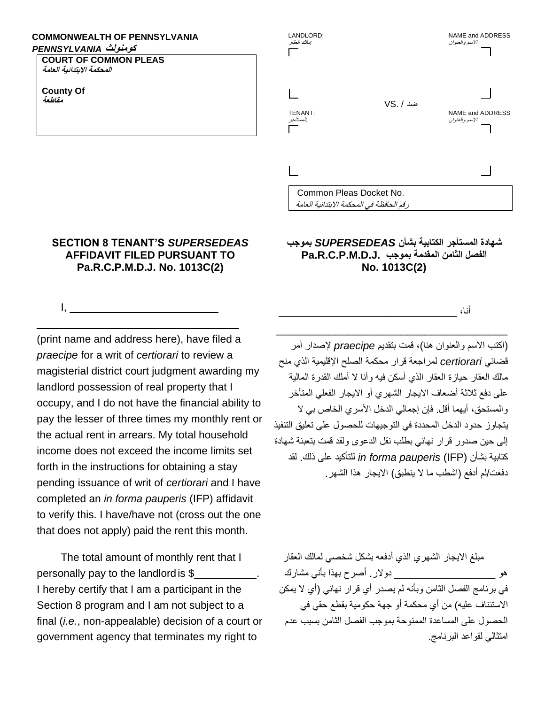## **COMMONWEALTH OF PENNSYLVANIA**

## **كومنولث** *PENNSYLVANIA*

**COURT OF COMMON PLEAS المحكمة االبتدائية العامة**

**County Of مقاطعة** 

 $I, \_\_$ 



**SECTION 8 TENANT'S** *SUPERSEDEAS*  **AFFIDAVIT FILED PURSUANT TO Pa.R.C.P.M.D.J. No. 1013C(2)**

\_\_\_\_\_\_\_\_\_\_\_\_\_\_\_\_\_\_\_\_\_\_\_\_\_\_\_\_\_\_\_\_\_\_

(print name and address here), have filed a *praecipe* for a writ of *certiorari* to review a magisterial district court judgment awarding my landlord possession of real property that I occupy, and I do not have the financial ability to pay the lesser of three times my monthly rent or the actual rent in arrears. My total household income does not exceed the income limits set forth in the instructions for obtaining a stay pending issuance of writ of *certiorari* and I have completed an *in forma pauperis* (IFP) affidavit to verify this. I have/have not (cross out the one that does not apply) paid the rent this month.

The total amount of monthly rent that I personally pay to the landlordis \$ \_\_\_\_\_\_\_\_\_\_. I hereby certify that I am a participant in the Section 8 program and I am not subject to a final (*i.e.*, non-appealable) decision of a court or government agency that terminates my right to

## **شهادة المستأجر الكتابية بشأن** *SUPERSEDEAS* **بموجب Pa.R.C.P.M.D.J. بموجب المقدمة الثامن الفصل No. 1013C(2)**

أنا، \_\_\_\_\_\_\_\_\_\_\_\_\_\_\_\_\_\_\_\_\_\_\_\_\_\_\_\_\_\_

)اكتب االسم والعنوان هنا(، قمت بتقديم *praecipe* إلصدار أمر قضائي *certiorari* لمراجعة قرار محكمة الصلح اإلقليمية الذي منح مالك العقار حيازة العقار الذي أسكن فيه وأنا ال أملك القدرة المالية على دفع ثالثة أضعاف االيجار الشهري أو االيجار الفعلي المتأخر والمستحق، أيهما أقل. فإن إجمالي الدخل الأسري الخاص بي لا يتجاوز حدود الدخل المحددة في التوجيهات للحصول على تعليق التنفيذ إلى حين صدور قرار نهائي بطلب نقل الدعوى ولقد قمت بتعبئة شهادة كتابية بشأن (IFP (*pauperis forma in* للتأكيد على ذلك. لقد دفعت/لم أدفع (اشطب ما لا ينطبق) الايجار ٍ هذا الشهر

 $\overline{\phantom{a}}$  , and the set of the set of the set of the set of the set of the set of the set of the set of the set of the set of the set of the set of the set of the set of the set of the set of the set of the set of the s

مبلغ الايجار الشهري الذي أدفعه بشكل شخصبي لمالك العقار هو \_\_\_\_\_\_\_\_\_\_\_\_\_\_\_\_\_ دوالر. أصرح بهذا بأني مشارك في برنامج الفصل الثامن وبأنه لم يصدر أي قرار نهائي )أي ال يمكن الاستئناف عليه) من أي محكمة أو جهة حكومية بقطع حقي في الحصول على المساعدة الممنوحة بموجب الفصل الثامن بسبب عدم امتثالي لقواعد البرنامج.